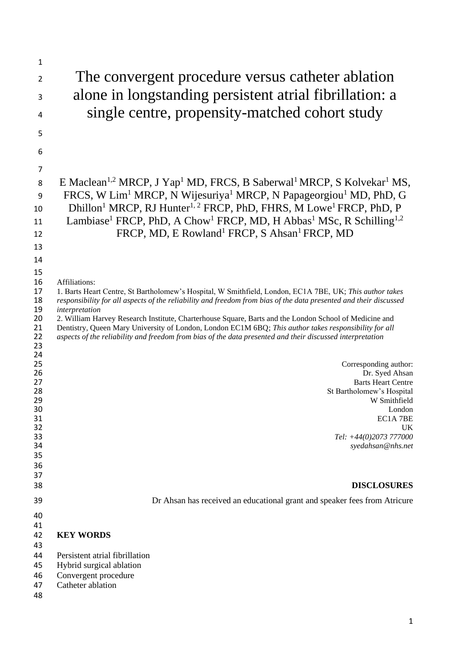| $\mathbf 1$                                                                                                                            |                                                                                                                                                                                                                                                                                                                                                                                                                                                                                                                                                                                                                                                                                                                                                                                                                              |
|----------------------------------------------------------------------------------------------------------------------------------------|------------------------------------------------------------------------------------------------------------------------------------------------------------------------------------------------------------------------------------------------------------------------------------------------------------------------------------------------------------------------------------------------------------------------------------------------------------------------------------------------------------------------------------------------------------------------------------------------------------------------------------------------------------------------------------------------------------------------------------------------------------------------------------------------------------------------------|
| $\overline{2}$                                                                                                                         | The convergent procedure versus catheter ablation                                                                                                                                                                                                                                                                                                                                                                                                                                                                                                                                                                                                                                                                                                                                                                            |
| 3                                                                                                                                      | alone in longstanding persistent atrial fibrillation: a                                                                                                                                                                                                                                                                                                                                                                                                                                                                                                                                                                                                                                                                                                                                                                      |
| 4                                                                                                                                      | single centre, propensity-matched cohort study                                                                                                                                                                                                                                                                                                                                                                                                                                                                                                                                                                                                                                                                                                                                                                               |
| 5                                                                                                                                      |                                                                                                                                                                                                                                                                                                                                                                                                                                                                                                                                                                                                                                                                                                                                                                                                                              |
| 6                                                                                                                                      |                                                                                                                                                                                                                                                                                                                                                                                                                                                                                                                                                                                                                                                                                                                                                                                                                              |
| 7                                                                                                                                      |                                                                                                                                                                                                                                                                                                                                                                                                                                                                                                                                                                                                                                                                                                                                                                                                                              |
| 8                                                                                                                                      | E Maclean <sup>1,2</sup> MRCP, J Yap <sup>1</sup> MD, FRCS, B Saberwal <sup>1</sup> MRCP, S Kolvekar <sup>1</sup> MS,                                                                                                                                                                                                                                                                                                                                                                                                                                                                                                                                                                                                                                                                                                        |
| 9                                                                                                                                      | FRCS, W Lim <sup>1</sup> MRCP, N Wijesuriya <sup>1</sup> MRCP, N Papageorgiou <sup>1</sup> MD, PhD, G                                                                                                                                                                                                                                                                                                                                                                                                                                                                                                                                                                                                                                                                                                                        |
| 10                                                                                                                                     | Dhillon <sup>1</sup> MRCP, RJ Hunter <sup>1, 2</sup> FRCP, PhD, FHRS, M Lowe <sup>1</sup> FRCP, PhD, P                                                                                                                                                                                                                                                                                                                                                                                                                                                                                                                                                                                                                                                                                                                       |
| 11                                                                                                                                     | Lambiase <sup>1</sup> FRCP, PhD, A Chow <sup>1</sup> FRCP, MD, H Abbas <sup>1</sup> MSc, R Schilling <sup>1,2</sup>                                                                                                                                                                                                                                                                                                                                                                                                                                                                                                                                                                                                                                                                                                          |
| 12                                                                                                                                     | FRCP, MD, E Rowland <sup>1</sup> FRCP, S Ahsan <sup>1</sup> FRCP, MD                                                                                                                                                                                                                                                                                                                                                                                                                                                                                                                                                                                                                                                                                                                                                         |
| 13                                                                                                                                     |                                                                                                                                                                                                                                                                                                                                                                                                                                                                                                                                                                                                                                                                                                                                                                                                                              |
| 14<br>15                                                                                                                               |                                                                                                                                                                                                                                                                                                                                                                                                                                                                                                                                                                                                                                                                                                                                                                                                                              |
| 16<br>17<br>18<br>19<br>20<br>21<br>22<br>23<br>24<br>25<br>26<br>27<br>28<br>29<br>30<br>31<br>32<br>33<br>34<br>35<br>36<br>37<br>38 | Affiliations:<br>1. Barts Heart Centre, St Bartholomew's Hospital, W Smithfield, London, EC1A 7BE, UK; This author takes<br>responsibility for all aspects of the reliability and freedom from bias of the data presented and their discussed<br>interpretation<br>2. William Harvey Research Institute, Charterhouse Square, Barts and the London School of Medicine and<br>Dentistry, Queen Mary University of London, London EC1M 6BQ; This author takes responsibility for all<br>aspects of the reliability and freedom from bias of the data presented and their discussed interpretation<br>Corresponding author:<br>Dr. Syed Ahsan<br><b>Barts Heart Centre</b><br>St Bartholomew's Hospital<br>W Smithfield<br>London<br>EC1A 7BE<br><b>UK</b><br>Tel: +44(0)2073 777000<br>syedahsan@nhs.net<br><b>DISCLOSURES</b> |
| 39                                                                                                                                     | Dr Ahsan has received an educational grant and speaker fees from Atricure                                                                                                                                                                                                                                                                                                                                                                                                                                                                                                                                                                                                                                                                                                                                                    |
| 40                                                                                                                                     |                                                                                                                                                                                                                                                                                                                                                                                                                                                                                                                                                                                                                                                                                                                                                                                                                              |
| 41<br>42<br>43<br>44                                                                                                                   | <b>KEY WORDS</b><br>Persistent atrial fibrillation                                                                                                                                                                                                                                                                                                                                                                                                                                                                                                                                                                                                                                                                                                                                                                           |
| 45<br>46<br>47<br>48                                                                                                                   | Hybrid surgical ablation<br>Convergent procedure<br>Catheter ablation                                                                                                                                                                                                                                                                                                                                                                                                                                                                                                                                                                                                                                                                                                                                                        |
|                                                                                                                                        |                                                                                                                                                                                                                                                                                                                                                                                                                                                                                                                                                                                                                                                                                                                                                                                                                              |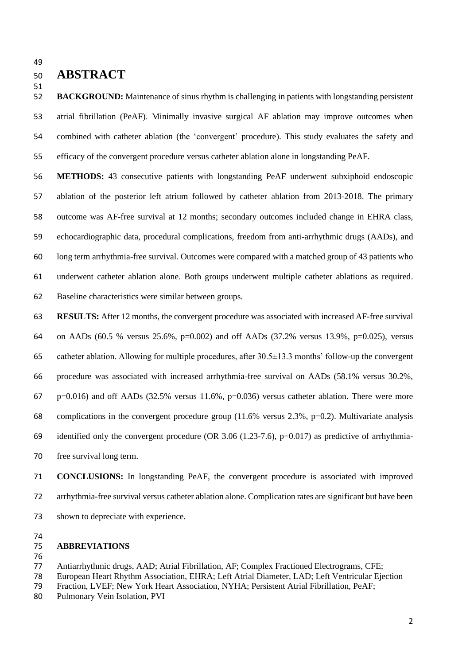# **ABSTRACT**

 **BACKGROUND:** Maintenance of sinus rhythm is challenging in patients with longstanding persistent atrial fibrillation (PeAF). Minimally invasive surgical AF ablation may improve outcomes when combined with catheter ablation (the 'convergent' procedure). This study evaluates the safety and efficacy of the convergent procedure versus catheter ablation alone in longstanding PeAF.

 **METHODS:** 43 consecutive patients with longstanding PeAF underwent subxiphoid endoscopic ablation of the posterior left atrium followed by catheter ablation from 2013-2018. The primary outcome was AF-free survival at 12 months; secondary outcomes included change in EHRA class, echocardiographic data, procedural complications, freedom from anti-arrhythmic drugs (AADs), and long term arrhythmia-free survival. Outcomes were compared with a matched group of 43 patients who underwent catheter ablation alone. Both groups underwent multiple catheter ablations as required. Baseline characteristics were similar between groups.

 **RESULTS:** After 12 months, the convergent procedure was associated with increased AF-free survival on AADs (60.5 % versus 25.6%, p=0.002) and off AADs (37.2% versus 13.9%, p=0.025), versus catheter ablation. Allowing for multiple procedures, after 30.5±13.3 months' follow-up the convergent procedure was associated with increased arrhythmia-free survival on AADs (58.1% versus 30.2%,  $p=0.016$ ) and off AADs (32.5% versus 11.6%,  $p=0.036$ ) versus catheter ablation. There were more complications in the convergent procedure group (11.6% versus 2.3%, p=0.2). Multivariate analysis 69 identified only the convergent procedure (OR 3.06 (1.23-7.6),  $p=0.017$ ) as predictive of arrhythmia-free survival long term.

 **CONCLUSIONS:** In longstanding PeAF, the convergent procedure is associated with improved arrhythmia-free survival versus catheter ablation alone. Complication rates are significant but have been shown to depreciate with experience.

# **ABBREVIATIONS**

### 

Antiarrhythmic drugs, AAD; Atrial Fibrillation, AF; Complex Fractioned Electrograms, CFE;

- European Heart Rhythm Association, EHRA; Left Atrial Diameter, LAD; Left Ventricular Ejection
- Fraction, LVEF; New York Heart Association, NYHA; Persistent Atrial Fibrillation, PeAF;
- Pulmonary Vein Isolation, PVI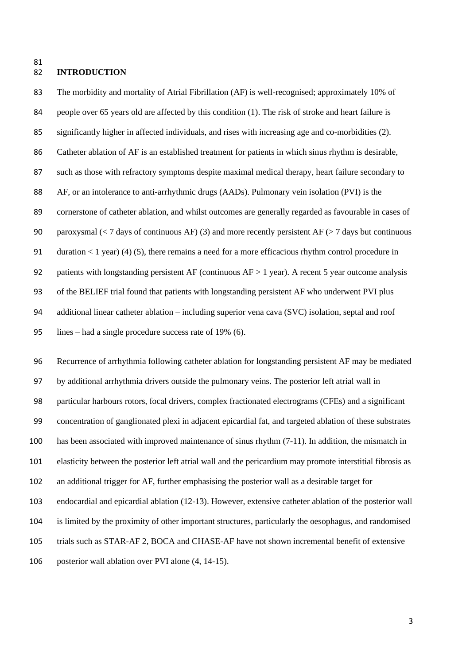## **INTRODUCTION**

 The morbidity and mortality of Atrial Fibrillation (AF) is well-recognised; approximately 10% of people over 65 years old are affected by this condition (1). The risk of stroke and heart failure is significantly higher in affected individuals, and rises with increasing age and co-morbidities (2). Catheter ablation of AF is an established treatment for patients in which sinus rhythm is desirable, such as those with refractory symptoms despite maximal medical therapy, heart failure secondary to AF, or an intolerance to anti-arrhythmic drugs (AADs). Pulmonary vein isolation (PVI) is the cornerstone of catheter ablation, and whilst outcomes are generally regarded as favourable in cases of 90 paroxysmal ( $\lt 7$  days of continuous AF) (3) and more recently persistent AF ( $> 7$  days but continuous duration < 1 year) (4) (5), there remains a need for a more efficacious rhythm control procedure in 92 patients with longstanding persistent AF (continuous AF > 1 year). A recent 5 year outcome analysis of the BELIEF trial found that patients with longstanding persistent AF who underwent PVI plus additional linear catheter ablation – including superior vena cava (SVC) isolation, septal and roof lines – had a single procedure success rate of 19% (6).

 Recurrence of arrhythmia following catheter ablation for longstanding persistent AF may be mediated by additional arrhythmia drivers outside the pulmonary veins. The posterior left atrial wall in particular harbours rotors, focal drivers, complex fractionated electrograms (CFEs) and a significant concentration of ganglionated plexi in adjacent epicardial fat, and targeted ablation of these substrates has been associated with improved maintenance of sinus rhythm (7-11). In addition, the mismatch in elasticity between the posterior left atrial wall and the pericardium may promote interstitial fibrosis as an additional trigger for AF, further emphasising the posterior wall as a desirable target for endocardial and epicardial ablation (12-13). However, extensive catheter ablation of the posterior wall is limited by the proximity of other important structures, particularly the oesophagus, and randomised trials such as STAR-AF 2, BOCA and CHASE-AF have not shown incremental benefit of extensive posterior wall ablation over PVI alone (4, 14-15).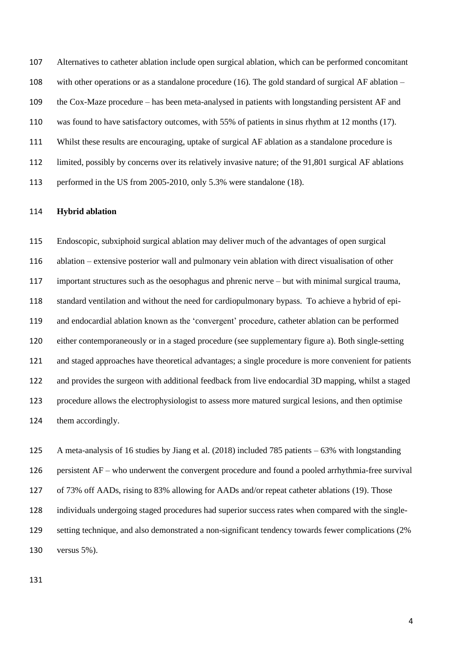Alternatives to catheter ablation include open surgical ablation, which can be performed concomitant with other operations or as a standalone procedure (16). The gold standard of surgical AF ablation – the Cox-Maze procedure – has been meta-analysed in patients with longstanding persistent AF and was found to have satisfactory outcomes, with 55% of patients in sinus rhythm at 12 months (17). Whilst these results are encouraging, uptake of surgical AF ablation as a standalone procedure is limited, possibly by concerns over its relatively invasive nature; of the 91,801 surgical AF ablations performed in the US from 2005-2010, only 5.3% were standalone (18).

#### **Hybrid ablation**

 Endoscopic, subxiphoid surgical ablation may deliver much of the advantages of open surgical ablation – extensive posterior wall and pulmonary vein ablation with direct visualisation of other important structures such as the oesophagus and phrenic nerve – but with minimal surgical trauma, standard ventilation and without the need for cardiopulmonary bypass. To achieve a hybrid of epi- and endocardial ablation known as the 'convergent' procedure, catheter ablation can be performed either contemporaneously or in a staged procedure (see supplementary figure a). Both single-setting and staged approaches have theoretical advantages; a single procedure is more convenient for patients and provides the surgeon with additional feedback from live endocardial 3D mapping, whilst a staged procedure allows the electrophysiologist to assess more matured surgical lesions, and then optimise them accordingly.

 A meta-analysis of 16 studies by Jiang et al. (2018) included 785 patients – 63% with longstanding persistent AF – who underwent the convergent procedure and found a pooled arrhythmia-free survival of 73% off AADs, rising to 83% allowing for AADs and/or repeat catheter ablations (19). Those individuals undergoing staged procedures had superior success rates when compared with the single- setting technique, and also demonstrated a non-significant tendency towards fewer complications (2% versus 5%).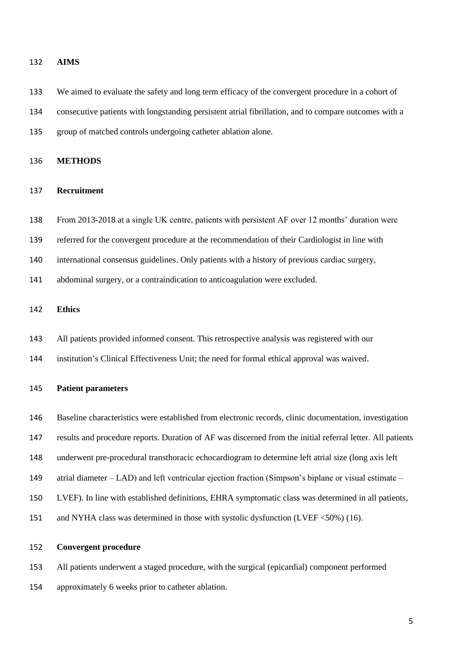#### **AIMS**

 We aimed to evaluate the safety and long term efficacy of the convergent procedure in a cohort of consecutive patients with longstanding persistent atrial fibrillation, and to compare outcomes with a group of matched controls undergoing catheter ablation alone.

#### **METHODS**

#### **Recruitment**

From 2013-2018 at a single UK centre, patients with persistent AF over 12 months' duration were

referred for the convergent procedure at the recommendation of their Cardiologist in line with

international consensus guidelines. Only patients with a history of previous cardiac surgery,

abdominal surgery, or a contraindication to anticoagulation were excluded.

## **Ethics**

- All patients provided informed consent. This retrospective analysis was registered with our
- institution's Clinical Effectiveness Unit; the need for formal ethical approval was waived.

#### **Patient parameters**

- Baseline characteristics were established from electronic records, clinic documentation, investigation
- results and procedure reports. Duration of AF was discerned from the initial referral letter. All patients
- underwent pre-procedural transthoracic echocardiogram to determine left atrial size (long axis left
- atrial diameter LAD) and left ventricular ejection fraction (Simpson's biplane or visual estimate –
- LVEF). In line with established definitions, EHRA symptomatic class was determined in all patients,
- 151 and NYHA class was determined in those with systolic dysfunction (LVEF <50%) (16).

#### **Convergent procedure**

All patients underwent a staged procedure, with the surgical (epicardial) component performed

approximately 6 weeks prior to catheter ablation.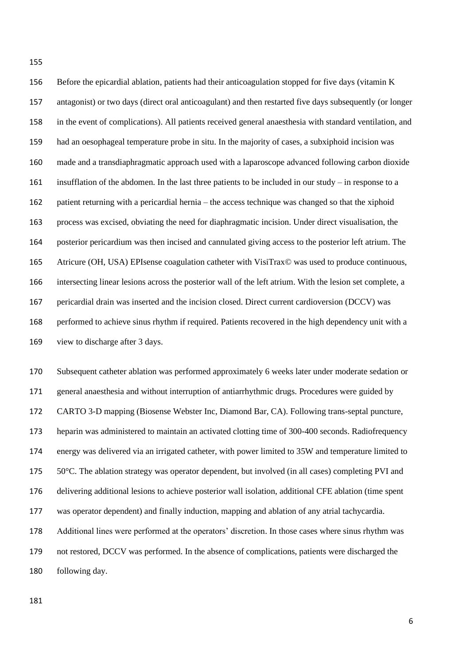Before the epicardial ablation, patients had their anticoagulation stopped for five days (vitamin K antagonist) or two days (direct oral anticoagulant) and then restarted five days subsequently (or longer in the event of complications). All patients received general anaesthesia with standard ventilation, and had an oesophageal temperature probe in situ. In the majority of cases, a subxiphoid incision was made and a transdiaphragmatic approach used with a laparoscope advanced following carbon dioxide insufflation of the abdomen. In the last three patients to be included in our study – in response to a patient returning with a pericardial hernia – the access technique was changed so that the xiphoid process was excised, obviating the need for diaphragmatic incision. Under direct visualisation, the posterior pericardium was then incised and cannulated giving access to the posterior left atrium. The 165 Atricure (OH, USA) EPIsense coagulation catheter with VisiTrax© was used to produce continuous, intersecting linear lesions across the posterior wall of the left atrium. With the lesion set complete, a pericardial drain was inserted and the incision closed. Direct current cardioversion (DCCV) was performed to achieve sinus rhythm if required. Patients recovered in the high dependency unit with a view to discharge after 3 days.

 Subsequent catheter ablation was performed approximately 6 weeks later under moderate sedation or general anaesthesia and without interruption of antiarrhythmic drugs. Procedures were guided by CARTO 3-D mapping (Biosense Webster Inc, Diamond Bar, CA). Following trans-septal puncture, heparin was administered to maintain an activated clotting time of 300-400 seconds. Radiofrequency energy was delivered via an irrigated catheter, with power limited to 35W and temperature limited to 50°C. The ablation strategy was operator dependent, but involved (in all cases) completing PVI and delivering additional lesions to achieve posterior wall isolation, additional CFE ablation (time spent was operator dependent) and finally induction, mapping and ablation of any atrial tachycardia. Additional lines were performed at the operators' discretion. In those cases where sinus rhythm was not restored, DCCV was performed. In the absence of complications, patients were discharged the

following day.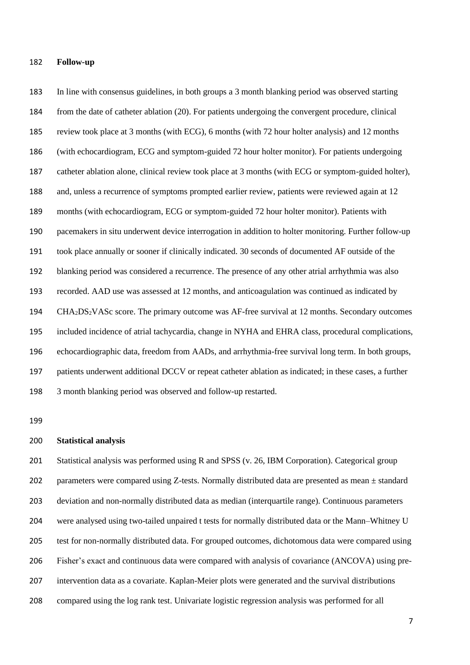#### **Follow-up**

 In line with consensus guidelines, in both groups a 3 month blanking period was observed starting from the date of catheter ablation (20). For patients undergoing the convergent procedure, clinical review took place at 3 months (with ECG), 6 months (with 72 hour holter analysis) and 12 months (with echocardiogram, ECG and symptom-guided 72 hour holter monitor). For patients undergoing catheter ablation alone, clinical review took place at 3 months (with ECG or symptom-guided holter), and, unless a recurrence of symptoms prompted earlier review, patients were reviewed again at 12 months (with echocardiogram, ECG or symptom-guided 72 hour holter monitor). Patients with pacemakers in situ underwent device interrogation in addition to holter monitoring. Further follow-up took place annually or sooner if clinically indicated. 30 seconds of documented AF outside of the blanking period was considered a recurrence. The presence of any other atrial arrhythmia was also recorded. AAD use was assessed at 12 months, and anticoagulation was continued as indicated by CHA2DS2VASc score. The primary outcome was AF-free survival at 12 months. Secondary outcomes included incidence of atrial tachycardia, change in NYHA and EHRA class, procedural complications, echocardiographic data, freedom from AADs, and arrhythmia-free survival long term. In both groups, patients underwent additional DCCV or repeat catheter ablation as indicated; in these cases, a further 3 month blanking period was observed and follow-up restarted.

#### **Statistical analysis**

 Statistical analysis was performed using R and SPSS (v. 26, IBM Corporation). Categorical group 202 parameters were compared using Z-tests. Normally distributed data are presented as mean  $\pm$  standard deviation and non-normally distributed data as median (interquartile range). Continuous parameters were analysed using two-tailed unpaired t tests for normally distributed data or the Mann–Whitney U test for non-normally distributed data. For grouped outcomes, dichotomous data were compared using Fisher's exact and continuous data were compared with analysis of covariance (ANCOVA) using pre- intervention data as a covariate. Kaplan-Meier plots were generated and the survival distributions compared using the log rank test. Univariate logistic regression analysis was performed for all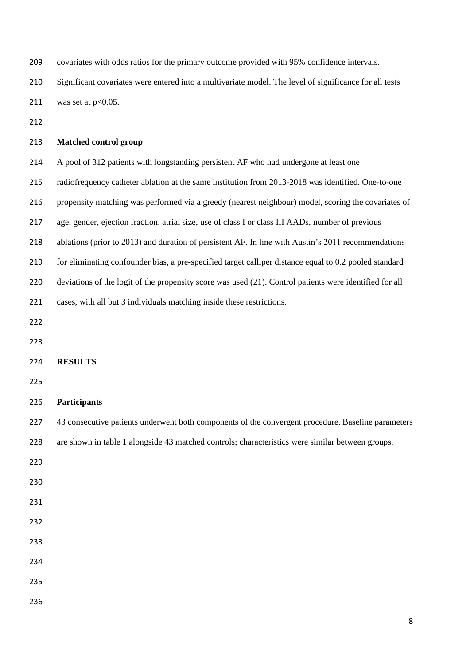| 209 | covariates with odds ratios for the primary outcome provided with 95% confidence intervals.                |
|-----|------------------------------------------------------------------------------------------------------------|
| 210 | Significant covariates were entered into a multivariate model. The level of significance for all tests     |
| 211 | was set at $p<0.05$ .                                                                                      |
| 212 |                                                                                                            |
| 213 | <b>Matched control group</b>                                                                               |
| 214 | A pool of 312 patients with longstanding persistent AF who had undergone at least one                      |
| 215 | radiofrequency catheter ablation at the same institution from 2013-2018 was identified. One-to-one         |
| 216 | propensity matching was performed via a greedy (nearest neighbour) model, scoring the covariates of        |
| 217 | age, gender, ejection fraction, atrial size, use of class I or class III AADs, number of previous          |
| 218 | ablations (prior to 2013) and duration of persistent AF. In line with Austin's 2011 recommendations        |
| 219 | for eliminating confounder bias, a pre-specified target calliper distance equal to 0.2 pooled standard     |
| 220 | deviations of the logit of the propensity score was used $(21)$ . Control patients were identified for all |
| 221 | cases, with all but 3 individuals matching inside these restrictions.                                      |
| 222 |                                                                                                            |
| 223 |                                                                                                            |
| 224 | <b>RESULTS</b>                                                                                             |
| 225 |                                                                                                            |
| 226 | <b>Participants</b>                                                                                        |
| 227 | 43 consecutive patients underwent both components of the convergent procedure. Baseline parameters         |
| 228 | are shown in table 1 alongside 43 matched controls; characteristics were similar between groups.           |
| 229 |                                                                                                            |
| 230 |                                                                                                            |
| 231 |                                                                                                            |
| 232 |                                                                                                            |
| 233 |                                                                                                            |
| 234 |                                                                                                            |
| 235 |                                                                                                            |
| 236 |                                                                                                            |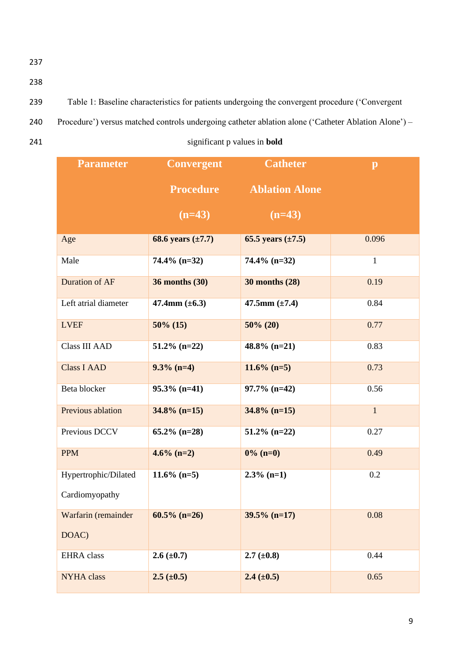- 238
- 239 Table 1: Baseline characteristics for patients undergoing the convergent procedure ('Convergent
- 240 Procedure') versus matched controls undergoing catheter ablation alone ('Catheter Ablation Alone') –
- 

241 significant p values in **bold**

| <b>Parameter</b>     | <b>Convergent</b>      | <b>Catheter</b>        | $\mathbf{p}$ |
|----------------------|------------------------|------------------------|--------------|
|                      | <b>Procedure</b>       | <b>Ablation Alone</b>  |              |
|                      | $(n=43)$               | $(n=43)$               |              |
| Age                  | 68.6 years $(\pm 7.7)$ | 65.5 years $(\pm 7.5)$ | 0.096        |
| Male                 | $74.4\%$ (n=32)        | $74.4\%$ (n=32)        | $\mathbf{1}$ |
| Duration of AF       | <b>36 months (30)</b>  | <b>30 months (28)</b>  | 0.19         |
| Left atrial diameter | 47.4mm $(\pm 6.3)$     | 47.5mm $(\pm 7.4)$     | 0.84         |
| <b>LVEF</b>          | $50\%$ (15)            | $50\%$ (20)            | 0.77         |
| <b>Class III AAD</b> | $51.2\%$ (n=22)        | $48.8\%$ (n=21)        | 0.83         |
| <b>Class I AAD</b>   | $9.3\%$ (n=4)          | $11.6\%$ (n=5)         | 0.73         |
| Beta blocker         | $95.3\%$ (n=41)        | $97.7\%$ (n=42)        | 0.56         |
| Previous ablation    | $34.8\%$ (n=15)        | $34.8\%$ (n=15)        | $\mathbf{1}$ |
| Previous DCCV        | $65.2\%$ (n=28)        | $51.2\%$ (n=22)        | 0.27         |
| <b>PPM</b>           | $4.6\%$ (n=2)          | $0\%$ (n=0)            | 0.49         |
| Hypertrophic/Dilated | $11.6\%$ (n=5)         | $2.3\%$ (n=1)          | 0.2          |
| Cardiomyopathy       |                        |                        |              |
| Warfarin (remainder  | $60.5\%$ (n=26)        | $39.5\%$ (n=17)        | 0.08         |
| DOAC)                |                        |                        |              |
| <b>EHRA</b> class    | $2.6 (\pm 0.7)$        | $2.7 (\pm 0.8)$        | 0.44         |
| <b>NYHA</b> class    | $2.5 (\pm 0.5)$        | $2.4 (\pm 0.5)$        | 0.65         |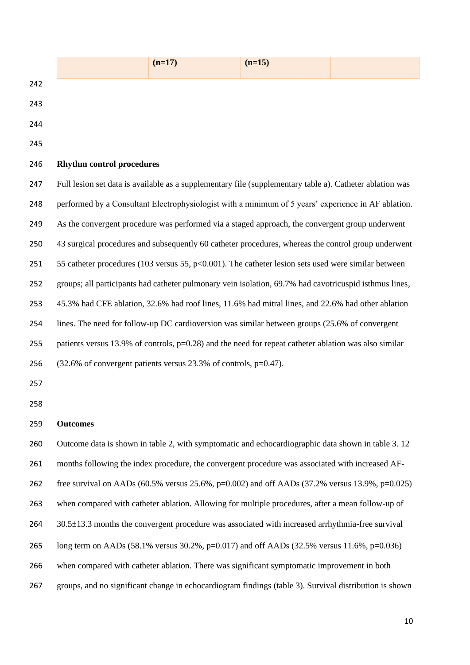|     |                                                                                                          | $(n=17)$ | $(n=15)$ |  |  |  |
|-----|----------------------------------------------------------------------------------------------------------|----------|----------|--|--|--|
| 242 |                                                                                                          |          |          |  |  |  |
| 243 |                                                                                                          |          |          |  |  |  |
| 244 |                                                                                                          |          |          |  |  |  |
| 245 |                                                                                                          |          |          |  |  |  |
| 246 | <b>Rhythm control procedures</b>                                                                         |          |          |  |  |  |
| 247 | Full lesion set data is available as a supplementary file (supplementary table a). Catheter ablation was |          |          |  |  |  |
| 248 | performed by a Consultant Electrophysiologist with a minimum of 5 years' experience in AF ablation.      |          |          |  |  |  |
| 249 | As the convergent procedure was performed via a staged approach, the convergent group underwent          |          |          |  |  |  |
| 250 | 43 surgical procedures and subsequently 60 catheter procedures, whereas the control group underwent      |          |          |  |  |  |
| 251 | 55 catheter procedures (103 versus 55, $p<0.001$ ). The catheter lesion sets used were similar between   |          |          |  |  |  |
| 252 | groups; all participants had catheter pulmonary vein isolation, 69.7% had cavotricuspid isthmus lines,   |          |          |  |  |  |
| 253 | 45.3% had CFE ablation, 32.6% had roof lines, 11.6% had mitral lines, and 22.6% had other ablation       |          |          |  |  |  |
| 254 | lines. The need for follow-up DC cardioversion was similar between groups (25.6% of convergent           |          |          |  |  |  |
| 255 | patients versus 13.9% of controls, $p=0.28$ ) and the need for repeat catheter ablation was also similar |          |          |  |  |  |
| 256 | $(32.6\% \text{ of convergent patients versus } 23.3\% \text{ of controls, } p=0.47).$                   |          |          |  |  |  |
| 257 |                                                                                                          |          |          |  |  |  |
| 258 |                                                                                                          |          |          |  |  |  |
| 259 | <b>Outcomes</b>                                                                                          |          |          |  |  |  |
| 260 | Outcome data is shown in table 2, with symptomatic and echocardiographic data shown in table 3. 12       |          |          |  |  |  |
| 261 | months following the index procedure, the convergent procedure was associated with increased AF-         |          |          |  |  |  |
| 262 | free survival on AADs (60.5% versus 25.6%, $p=0.002$ ) and off AADs (37.2% versus 13.9%, $p=0.025$ )     |          |          |  |  |  |
| 263 | when compared with catheter ablation. Allowing for multiple procedures, after a mean follow-up of        |          |          |  |  |  |
| 264 | 30.5±13.3 months the convergent procedure was associated with increased arrhythmia-free survival         |          |          |  |  |  |
| 265 | long term on AADs (58.1% versus 30.2%, p=0.017) and off AADs (32.5% versus 11.6%, p=0.036)               |          |          |  |  |  |
| 266 | when compared with catheter ablation. There was significant symptomatic improvement in both              |          |          |  |  |  |
| 267 | groups, and no significant change in echocardiogram findings (table 3). Survival distribution is shown   |          |          |  |  |  |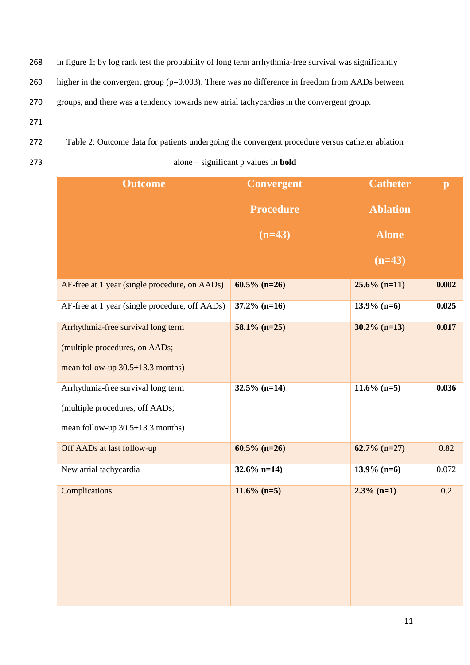- 268 in figure 1; by log rank test the probability of long term arrhythmia-free survival was significantly
- 269 higher in the convergent group (p=0.003). There was no difference in freedom from AADs between
- 270 groups, and there was a tendency towards new atrial tachycardias in the convergent group.
- 271
- 272 Table 2: Outcome data for patients undergoing the convergent procedure versus catheter ablation
- 

273 alone – significant p values in **bold**

| <b>Outcome</b>                                 | <b>Convergent</b> | <b>Catheter</b> | $\mathbf{p}$ |
|------------------------------------------------|-------------------|-----------------|--------------|
|                                                | <b>Procedure</b>  | <b>Ablation</b> |              |
|                                                | $(n=43)$          | <b>Alone</b>    |              |
|                                                |                   | $(n=43)$        |              |
| AF-free at 1 year (single procedure, on AADs)  | $60.5\%$ (n=26)   | $25.6\%$ (n=11) | 0.002        |
| AF-free at 1 year (single procedure, off AADs) | $37.2\%$ (n=16)   | $13.9\%$ (n=6)  | 0.025        |
| Arrhythmia-free survival long term             | $58.1\%$ (n=25)   | $30.2\%$ (n=13) | 0.017        |
| (multiple procedures, on AADs;                 |                   |                 |              |
| mean follow-up $30.5 \pm 13.3$ months)         |                   |                 |              |
| Arrhythmia-free survival long term             | $32.5\%$ (n=14)   | $11.6\%$ (n=5)  | 0.036        |
| (multiple procedures, off AADs;                |                   |                 |              |
| mean follow-up $30.5 \pm 13.3$ months)         |                   |                 |              |
| Off AADs at last follow-up                     | $60.5\%$ (n=26)   | $62.7\%$ (n=27) | 0.82         |
| New atrial tachycardia                         | $32.6\%$ n=14)    | $13.9\%$ (n=6)  | 0.072        |
| Complications                                  | $11.6\%$ (n=5)    | $2.3\%$ (n=1)   | 0.2          |
|                                                |                   |                 |              |
|                                                |                   |                 |              |
|                                                |                   |                 |              |
|                                                |                   |                 |              |
|                                                |                   |                 |              |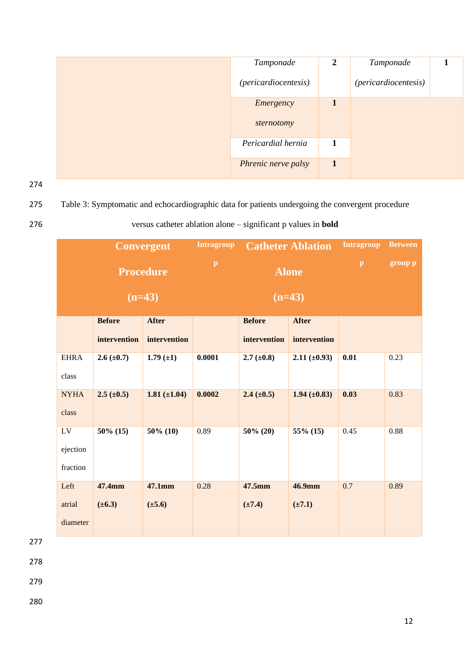|  | Tamponade                   | $\mathbf{2}$ | Tamponade            |  |
|--|-----------------------------|--------------|----------------------|--|
|  | <i>(pericardiocentesis)</i> |              | (pericardiocentesis) |  |
|  | Emergency                   | $\mathbf{1}$ |                      |  |
|  | sternotomy                  |              |                      |  |
|  | Pericardial hernia          | 1            |                      |  |
|  | Phrenic nerve palsy         | $\mathbf{1}$ |                      |  |

275 Table 3: Symptomatic and echocardiographic data for patients undergoing the convergent procedure

# 276 versus catheter ablation alone – significant p values in **bold**

|             | <b>Convergent</b> |                   | <b>Intragroup</b> |                 | <b>Catheter Ablation</b> | <b>Intragroup</b> | <b>Between</b> |
|-------------|-------------------|-------------------|-------------------|-----------------|--------------------------|-------------------|----------------|
|             | <b>Procedure</b>  |                   | $\, {\bf p}$      | <b>Alone</b>    |                          | $\, {\bf p}$      | group p        |
|             | $(n=43)$          |                   | $(n=43)$          |                 |                          |                   |                |
|             | <b>Before</b>     | <b>After</b>      |                   | <b>Before</b>   | <b>After</b>             |                   |                |
|             | intervention      | intervention      |                   | intervention    | intervention             |                   |                |
| <b>EHRA</b> | $2.6 (\pm 0.7)$   | $1.79 \ (\pm 1)$  | 0.0001            | $2.7 (\pm 0.8)$ | $2.11 (\pm 0.93)$        | 0.01              | 0.23           |
| class       |                   |                   |                   |                 |                          |                   |                |
| <b>NYHA</b> | $2.5 (\pm 0.5)$   | $1.81 (\pm 1.04)$ | 0.0002            | $2.4 (\pm 0.5)$ | $1.94 (\pm 0.83)$        | 0.03              | 0.83           |
| class       |                   |                   |                   |                 |                          |                   |                |
| ${\rm LV}$  | $50\%$ (15)       | $50\%$ (10)       | 0.89              | $50\%$ (20)     | 55% (15)                 | 0.45              | 0.88           |
| ejection    |                   |                   |                   |                 |                          |                   |                |
| fraction    |                   |                   |                   |                 |                          |                   |                |
| Left        | 47.4mm            | 47.1mm            | 0.28              | 47.5mm          | 46.9mm                   | 0.7               | 0.89           |
| atrial      | $(\pm 6.3)$       | $(\pm 5.6)$       |                   | $(\pm 7.4)$     | $(\pm 7.1)$              |                   |                |
| diameter    |                   |                   |                   |                 |                          |                   |                |

277

278

279

280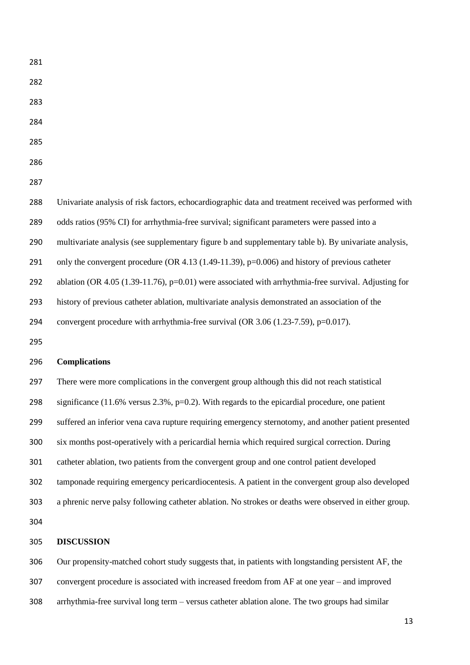- 
- 
- 
- 
- 
- 

 Univariate analysis of risk factors, echocardiographic data and treatment received was performed with odds ratios (95% CI) for arrhythmia-free survival; significant parameters were passed into a multivariate analysis (see supplementary figure b and supplementary table b). By univariate analysis, 291 only the convergent procedure (OR 4.13 (1.49-11.39), p=0.006) and history of previous catheter 292 ablation (OR 4.05 (1.39-11.76), p=0.01) were associated with arrhythmia-free survival. Adjusting for history of previous catheter ablation, multivariate analysis demonstrated an association of the convergent procedure with arrhythmia-free survival (OR 3.06 (1.23-7.59), p=0.017).

# **Complications**

 There were more complications in the convergent group although this did not reach statistical significance (11.6% versus 2.3%, p=0.2). With regards to the epicardial procedure, one patient suffered an inferior vena cava rupture requiring emergency sternotomy, and another patient presented six months post-operatively with a pericardial hernia which required surgical correction. During catheter ablation, two patients from the convergent group and one control patient developed tamponade requiring emergency pericardiocentesis. A patient in the convergent group also developed a phrenic nerve palsy following catheter ablation. No strokes or deaths were observed in either group. 

# **DISCUSSION**

 Our propensity-matched cohort study suggests that, in patients with longstanding persistent AF, the convergent procedure is associated with increased freedom from AF at one year – and improved arrhythmia-free survival long term – versus catheter ablation alone. The two groups had similar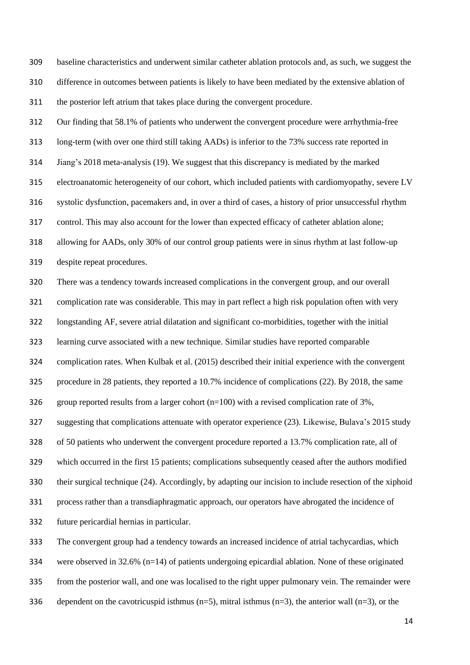baseline characteristics and underwent similar catheter ablation protocols and, as such, we suggest the difference in outcomes between patients is likely to have been mediated by the extensive ablation of the posterior left atrium that takes place during the convergent procedure.

 Our finding that 58.1% of patients who underwent the convergent procedure were arrhythmia-free long-term (with over one third still taking AADs) is inferior to the 73% success rate reported in Jiang's 2018 meta-analysis (19). We suggest that this discrepancy is mediated by the marked electroanatomic heterogeneity of our cohort, which included patients with cardiomyopathy, severe LV systolic dysfunction, pacemakers and, in over a third of cases, a history of prior unsuccessful rhythm control. This may also account for the lower than expected efficacy of catheter ablation alone; allowing for AADs, only 30% of our control group patients were in sinus rhythm at last follow-up despite repeat procedures.

 There was a tendency towards increased complications in the convergent group, and our overall complication rate was considerable. This may in part reflect a high risk population often with very longstanding AF, severe atrial dilatation and significant co-morbidities, together with the initial learning curve associated with a new technique. Similar studies have reported comparable complication rates. When Kulbak et al. (2015) described their initial experience with the convergent procedure in 28 patients, they reported a 10.7% incidence of complications (22). By 2018, the same 326 group reported results from a larger cohort  $(n=100)$  with a revised complication rate of 3%, suggesting that complications attenuate with operator experience (23). Likewise, Bulava's 2015 study of 50 patients who underwent the convergent procedure reported a 13.7% complication rate, all of which occurred in the first 15 patients; complications subsequently ceased after the authors modified their surgical technique (24). Accordingly, by adapting our incision to include resection of the xiphoid process rather than a transdiaphragmatic approach, our operators have abrogated the incidence of future pericardial hernias in particular.

 The convergent group had a tendency towards an increased incidence of atrial tachycardias, which were observed in 32.6% (n=14) of patients undergoing epicardial ablation. None of these originated

from the posterior wall, and one was localised to the right upper pulmonary vein. The remainder were

336 dependent on the cavotricuspid isthmus  $(n=5)$ , mitral isthmus  $(n=3)$ , the anterior wall  $(n=3)$ , or the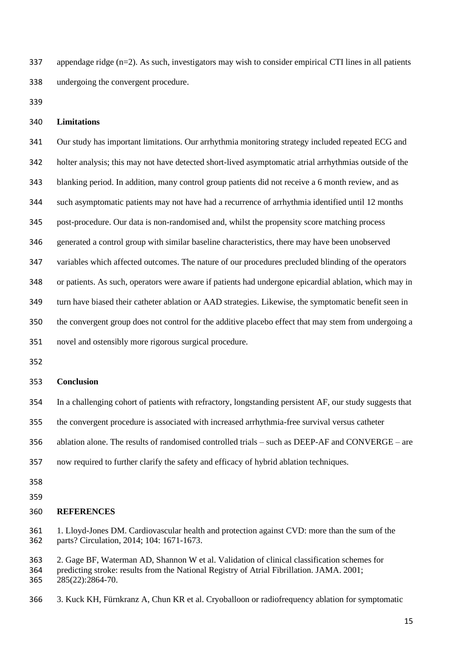appendage ridge (n=2). As such, investigators may wish to consider empirical CTI lines in all patients undergoing the convergent procedure.

## **Limitations**

 Our study has important limitations. Our arrhythmia monitoring strategy included repeated ECG and holter analysis; this may not have detected short-lived asymptomatic atrial arrhythmias outside of the blanking period. In addition, many control group patients did not receive a 6 month review, and as such asymptomatic patients may not have had a recurrence of arrhythmia identified until 12 months post-procedure. Our data is non-randomised and, whilst the propensity score matching process generated a control group with similar baseline characteristics, there may have been unobserved variables which affected outcomes. The nature of our procedures precluded blinding of the operators or patients. As such, operators were aware if patients had undergone epicardial ablation, which may in turn have biased their catheter ablation or AAD strategies. Likewise, the symptomatic benefit seen in the convergent group does not control for the additive placebo effect that may stem from undergoing a

novel and ostensibly more rigorous surgical procedure.

### **Conclusion**

In a challenging cohort of patients with refractory, longstanding persistent AF, our study suggests that

the convergent procedure is associated with increased arrhythmia-free survival versus catheter

ablation alone. The results of randomised controlled trials – such as DEEP-AF and CONVERGE – are

- now required to further clarify the safety and efficacy of hybrid ablation techniques.
- 
- 
- **REFERENCES**

 1. Lloyd-Jones DM. Cardiovascular health and protection against CVD: more than the sum of the parts? Circulation, 2014; 104: 1671-1673.

 2. [Gage BF,](https://www.ncbi.nlm.nih.gov/pubmed/?term=Gage%20BF%5BAuthor%5D&cauthor=true&cauthor_uid=11401607) [Waterman AD,](https://www.ncbi.nlm.nih.gov/pubmed/?term=Waterman%20AD%5BAuthor%5D&cauthor=true&cauthor_uid=11401607) [Shannon W](https://www.ncbi.nlm.nih.gov/pubmed/?term=Shannon%20W%5BAuthor%5D&cauthor=true&cauthor_uid=11401607) et al. Validation of clinical classification schemes for predicting stroke: results from the National Registry of Atrial Fibrillation. [JAMA.](https://www.ncbi.nlm.nih.gov/pubmed/11401607) 2001; 285(22):2864-70.

3. [Kuck KH,](https://www.ncbi.nlm.nih.gov/pubmed/?term=Kuck%20KH%5BAuthor%5D&cauthor=true&cauthor_uid=27381589) [Fürnkranz A,](https://www.ncbi.nlm.nih.gov/pubmed/?term=F%C3%BCrnkranz%20A%5BAuthor%5D&cauthor=true&cauthor_uid=27381589) [Chun KR](https://www.ncbi.nlm.nih.gov/pubmed/?term=Chun%20KR%5BAuthor%5D&cauthor=true&cauthor_uid=27381589) et al. Cryoballoon or radiofrequency ablation for symptomatic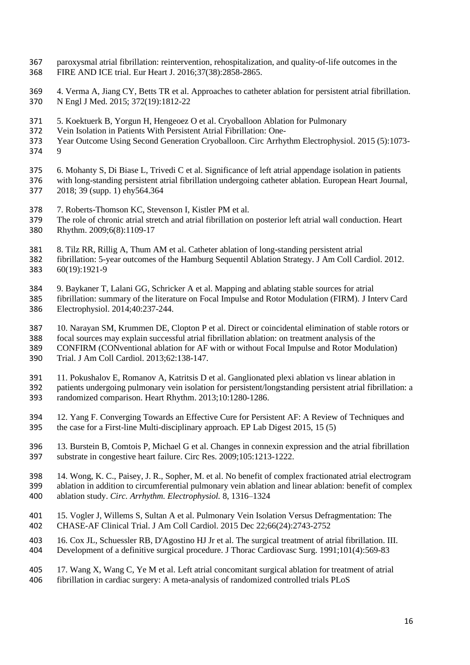- paroxysmal atrial fibrillation: reintervention, rehospitalization, and quality-of-life outcomes in the FIRE AND ICE trial. [Eur Heart J.](https://www.ncbi.nlm.nih.gov/pubmed/27381589) 2016;37(38):2858-2865.
- 4. [Verma A,](https://www.ncbi.nlm.nih.gov/pubmed/?term=Verma%20A%5BAuthor%5D&cauthor=true&cauthor_uid=25946280) [Jiang CY,](https://www.ncbi.nlm.nih.gov/pubmed/?term=Jiang%20CY%5BAuthor%5D&cauthor=true&cauthor_uid=25946280) [Betts TR](https://www.ncbi.nlm.nih.gov/pubmed/?term=Betts%20TR%5BAuthor%5D&cauthor=true&cauthor_uid=25946280) et al. Approaches to catheter ablation for persistent atrial fibrillation. [N Engl J Med.](https://www.ncbi.nlm.nih.gov/pubmed/25946280) 2015; 372(19):1812-22
- 5. [Koektuerk B,](https://www.ncbi.nlm.nih.gov/pubmed/?term=Koektuerk%20B%5BAuthor%5D&cauthor=true&cauthor_uid=26286935) [Yorgun H,](https://www.ncbi.nlm.nih.gov/pubmed/?term=Yorgun%20H%5BAuthor%5D&cauthor=true&cauthor_uid=26286935) [Hengeoez O](https://www.ncbi.nlm.nih.gov/pubmed/?term=Hengeoez%20O%5BAuthor%5D&cauthor=true&cauthor_uid=26286935) et al. Cryoballoon Ablation for Pulmonary
- Vein Isolation in Patients With Persistent Atrial Fibrillation: One-
- Year Outcome Using Second Generation Cryoballoon. [Circ Arrhythm Electrophysiol.](https://www.ncbi.nlm.nih.gov/pubmed/26286935) 2015 (5):1073- 9
- 6. Mohanty S, Di Biase L, Trivedi C et al. Significance of left atrial appendage isolation in patients
- with long-standing persistent atrial fibrillation undergoing catheter ablation. European Heart Journal*,*  2018; 39 (supp. 1) ehy564.364
- 
- 378 7. [Roberts-Thomson KC,](https://www.ncbi.nlm.nih.gov/pubmed/?term=Roberts-Thomson%20KC%5BAuthor%5D&cauthor=true&cauthor_uid=19574109) [Stevenson I,](https://www.ncbi.nlm.nih.gov/pubmed/?term=Stevenson%20I%5BAuthor%5D&cauthor=true&cauthor_uid=19574109) [Kistler PM](https://www.ncbi.nlm.nih.gov/pubmed/?term=Kistler%20PM%5BAuthor%5D&cauthor=true&cauthor_uid=19574109) et al.<br>379 The role of chronic atrial stretch and atrial fibrillation on The role of chronic atrial stretch and atrial fibrillation on posterior left atrial wall conduction. [Heart](https://www.ncbi.nlm.nih.gov/pubmed/?term=The+role+of+chronic+atrial+stretch+and+atrial+fibrillation+on+posterior+left+atrial+wall+conduction) [Rhythm.](https://www.ncbi.nlm.nih.gov/pubmed/?term=The+role+of+chronic+atrial+stretch+and+atrial+fibrillation+on+posterior+left+atrial+wall+conduction) 2009;6(8):1109-17
- 8. [Tilz RR,](https://www.ncbi.nlm.nih.gov/pubmed/?term=Tilz%20RR%5BAuthor%5D&cauthor=true&cauthor_uid=23062545) [Rillig A,](https://www.ncbi.nlm.nih.gov/pubmed/?term=Rillig%20A%5BAuthor%5D&cauthor=true&cauthor_uid=23062545) [Thum AM](https://www.ncbi.nlm.nih.gov/pubmed/?term=Thum%20AM%5BAuthor%5D&cauthor=true&cauthor_uid=23062545) et al. Catheter ablation of long-standing persistent atrial
- fibrillation: 5-year outcomes of the Hamburg Sequentil Ablation Strategy[. J Am Coll Cardiol.](https://www.ncbi.nlm.nih.gov/pubmed/?term=Catheter+ablation+of+long-standing+persistent+atrial+fibrillation%3A+5-year+outcomes+of+the+hamburg+sequential+ablation+strateg) 2012. 60(19):1921-9
- 9. Baykaner T, Lalani GG, Schricker A et al. Mapping and ablating stable sources for atrial
- fibrillation: summary of the literature on Focal Impulse and Rotor Modulation (FIRM). J Interv Card Electrophysiol. 2014;40:237-244.
- 10. Narayan SM, Krummen DE, Clopton P et al. Direct or coincidental elimination of stable rotors or
- focal sources may explain successful atrial fibrillation ablation: on treatment analysis of the
- CONFIRM (CONventional ablation for AF with or without Focal Impulse and Rotor Modulation) Trial. J Am Coll Cardiol. 2013;62:138-147.
- 11. Pokushalov E, Romanov A, Katritsis D et al. Ganglionated plexi ablation vs linear ablation in
- patients undergoing pulmonary vein isolation for persistent/longstanding persistent atrial fibrillation: a randomized comparison. Heart Rhythm. 2013;10:1280-1286.
- 
- 12. Yang F. Converging Towards an Effective Cure for Persistent AF: A Review of Techniques and the case for a First-line Multi-disciplinary approach. EP Lab Digest 2015, 15 (5)
- 13. Burstein B, Comtois P, Michael G et al. Changes in connexin expression and the atrial fibrillation substrate in congestive heart failure. Circ Res. 2009;105:1213-1222.
- 14. Wong, K. C., Paisey, J. R., Sopher, M. et al. No benefit of complex fractionated atrial electrogram ablation in addition to circumferential pulmonary vein ablation and linear ablation: benefit of complex ablation study. *Circ. Arrhythm. Electrophysiol.* 8, 1316–1324
- 15. [Vogler J,](https://www.ncbi.nlm.nih.gov/pubmed/?term=Vogler%20J%5BAuthor%5D&cauthor=true&cauthor_uid=26700836) [Willems S,](https://www.ncbi.nlm.nih.gov/pubmed/?term=Willems%20S%5BAuthor%5D&cauthor=true&cauthor_uid=26700836) [Sultan A](https://www.ncbi.nlm.nih.gov/pubmed/?term=Sultan%20A%5BAuthor%5D&cauthor=true&cauthor_uid=26700836) et al. Pulmonary Vein Isolation Versus Defragmentation: The CHASE-AF Clinical Trial. [J Am Coll Cardiol.](https://www.ncbi.nlm.nih.gov/pubmed/26700836) 2015 Dec 22;66(24):2743-2752
- 16. [Cox JL,](https://www.ncbi.nlm.nih.gov/pubmed/?term=Cox%20JL%5BAuthor%5D&cauthor=true&cauthor_uid=2008095) [Schuessler RB,](https://www.ncbi.nlm.nih.gov/pubmed/?term=Schuessler%20RB%5BAuthor%5D&cauthor=true&cauthor_uid=2008095) [D'Agostino HJ Jr](https://www.ncbi.nlm.nih.gov/pubmed/?term=D%27Agostino%20HJ%20Jr%5BAuthor%5D&cauthor=true&cauthor_uid=2008095) et al. The surgical treatment of atrial fibrillation. III.
- Development of a definitive surgical procedure. [J Thorac Cardiovasc Surg.](https://www.ncbi.nlm.nih.gov/pubmed/2008095) 1991;101(4):569-83

# 17. [Wang X,](https://www.ncbi.nlm.nih.gov/pubmed/?term=Wang%20X%5BAuthor%5D&cauthor=true&cauthor_uid=29360851) [Wang C,](https://www.ncbi.nlm.nih.gov/pubmed/?term=Wang%20C%5BAuthor%5D&cauthor=true&cauthor_uid=29360851) [Ye M](https://www.ncbi.nlm.nih.gov/pubmed/?term=Ye%20M%5BAuthor%5D&cauthor=true&cauthor_uid=29360851) et al. Left atrial concomitant surgical ablation for treatment of atrial

fibrillation in cardiac surgery: A meta-analysis of randomized controlled trials [PLoS](https://www.ncbi.nlm.nih.gov/pubmed/29360851)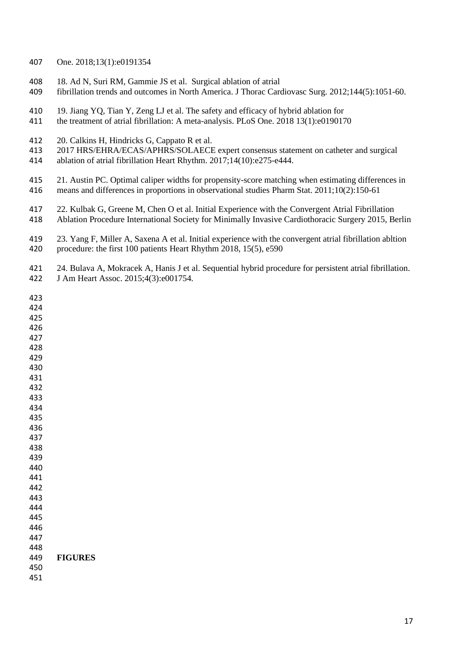#### [One.](https://www.ncbi.nlm.nih.gov/pubmed/29360851) 2018;13(1):e0191354

- 18. [Ad N,](https://www.ncbi.nlm.nih.gov/pubmed/?term=Ad%20N%5BAuthor%5D&cauthor=true&cauthor_uid=22920597) [Suri RM,](https://www.ncbi.nlm.nih.gov/pubmed/?term=Suri%20RM%5BAuthor%5D&cauthor=true&cauthor_uid=22920597) [Gammie JS](https://www.ncbi.nlm.nih.gov/pubmed/?term=Gammie%20JS%5BAuthor%5D&cauthor=true&cauthor_uid=22920597) et al. Surgical ablation of atrial
- fibrillation trends and outcomes in North America. [J Thorac Cardiovasc Surg.](https://www.ncbi.nlm.nih.gov/pubmed/22920597) 2012;144(5):1051-60.
- 19. [Jiang YQ,](https://www.ncbi.nlm.nih.gov/pubmed/?term=Jiang%20YQ%5BAuthor%5D&cauthor=true&cauthor_uid=29298352) [Tian Y,](https://www.ncbi.nlm.nih.gov/pubmed/?term=Tian%20Y%5BAuthor%5D&cauthor=true&cauthor_uid=29298352) [Zeng LJ](https://www.ncbi.nlm.nih.gov/pubmed/?term=Zeng%20LJ%5BAuthor%5D&cauthor=true&cauthor_uid=29298352) et al. The safety and efficacy of hybrid ablation for
- the treatment of atrial fibrillation: A meta-analysis. [PLoS One.](https://www.ncbi.nlm.nih.gov/pubmed/29298352) 2018 13(1):e0190170
- 20. [Calkins H,](https://www.ncbi.nlm.nih.gov/pubmed/?term=Calkins%20H%5BAuthor%5D&cauthor=true&cauthor_uid=28506916) [Hindricks G,](https://www.ncbi.nlm.nih.gov/pubmed/?term=Hindricks%20G%5BAuthor%5D&cauthor=true&cauthor_uid=28506916) [Cappato R](https://www.ncbi.nlm.nih.gov/pubmed/?term=Cappato%20R%5BAuthor%5D&cauthor=true&cauthor_uid=28506916) et al.
- 2017 HRS/EHRA/ECAS/APHRS/SOLAECE expert consensus statement on catheter and surgical
- ablation of atrial fibrillation [Heart Rhythm.](https://www.ncbi.nlm.nih.gov/pubmed/28506916) 2017;14(10):e275-e444.

 21. [Austin PC.](https://www.ncbi.nlm.nih.gov/pubmed/?term=Austin%20PC%5BAuthor%5D&cauthor=true&cauthor_uid=20925139) Optimal caliper widths for propensity-score matching when estimating differences in means and differences in proportions in observational studies [Pharm Stat.](https://www.ncbi.nlm.nih.gov/pubmed/?term=Optimal+caliper+widths+for+propensity-score+matching+when+estimating+differences+in+means+and+differences+in+proportions+in+observational+studies) 2011;10(2):150-61

- 22. Kulbak G, Greene M, Chen O et al. Initial Experience with the Convergent Atrial Fibrillation
- Ablation Procedure International Society for Minimally Invasive Cardiothoracic Surgery 2015, Berlin
- 23. Yang F, Miller A, Saxena A et al. Initial experience with the convergent atrial fibrillation abltion procedure: the first 100 patients Heart Rhythm 2018, 15(5), e590
- 24. [Bulava A,](https://www.ncbi.nlm.nih.gov/pubmed/?term=Bulava%20A%5BAuthor%5D&cauthor=true&cauthor_uid=25809548) [Mokracek A,](https://www.ncbi.nlm.nih.gov/pubmed/?term=Mokracek%20A%5BAuthor%5D&cauthor=true&cauthor_uid=25809548) [Hanis J](https://www.ncbi.nlm.nih.gov/pubmed/?term=Hanis%20J%5BAuthor%5D&cauthor=true&cauthor_uid=25809548) et al. Sequential hybrid procedure for persistent atrial fibrillation. [J Am Heart Assoc.](https://www.ncbi.nlm.nih.gov/pubmed/25809548) 2015;4(3):e001754.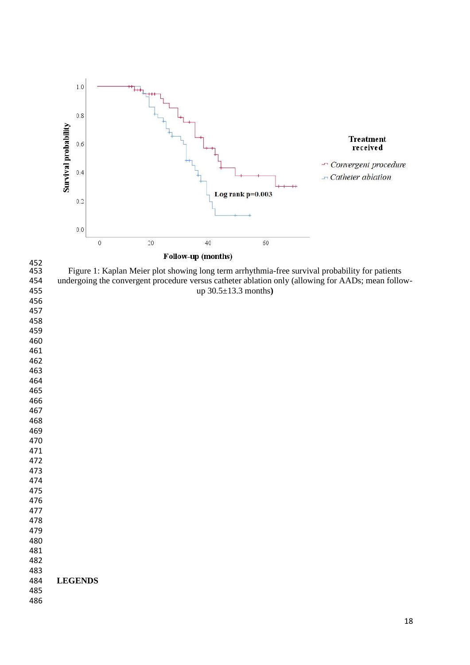



452<br>453